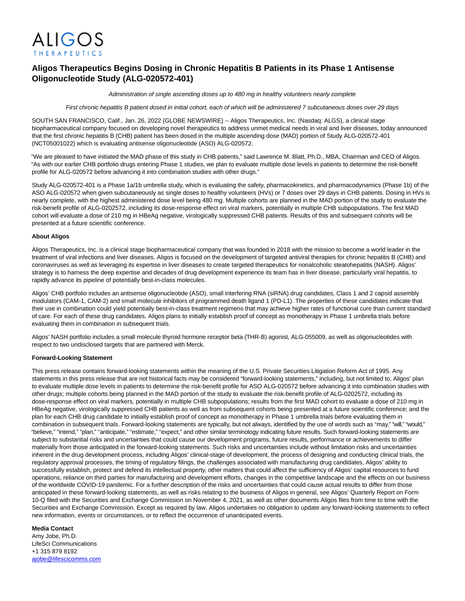

## **Aligos Therapeutics Begins Dosing in Chronic Hepatitis B Patients in its Phase 1 Antisense Oligonucleotide Study (ALG-020572-401)**

Administration of single ascending doses up to 480 mg in healthy volunteers nearly complete

First chronic hepatitis B patient dosed in initial cohort, each of which will be administered 7 subcutaneous doses over 29 days

SOUTH SAN FRANCISCO, Calif., Jan. 26, 2022 (GLOBE NEWSWIRE) -- Aligos Therapeutics, Inc. (Nasdaq: ALGS), a clinical stage biopharmaceutical company focused on developing novel therapeutics to address unmet medical needs in viral and liver diseases, today announced that the first chronic hepatitis B (CHB) patient has been dosed in the multiple ascending dose (MAD) portion of Study ALG-020572-401 (NCT05001022) which is evaluating antisense oligonucleotide (ASO) ALG-020572.

"We are pleased to have initiated the MAD phase of this study in CHB patients," said Lawrence M. Blatt, Ph.D., MBA, Chairman and CEO of Aligos. "As with our earlier CHB portfolio drugs entering Phase 1 studies, we plan to evaluate multiple dose levels in patients to determine the risk-benefit profile for ALG-020572 before advancing it into combination studies with other drugs."

Study ALG-020572-401 is a Phase 1a/1b umbrella study, which is evaluating the safety, pharmacokinetics, and pharmacodynamics (Phase 1b) of the ASO ALG-020572 when given subcutaneously as single doses to healthy volunteers (HVs) or 7 doses over 29 days in CHB patients. Dosing in HVs is nearly complete, with the highest administered dose level being 480 mg. Multiple cohorts are planned in the MAD portion of the study to evaluate the risk-benefit profile of ALG-0202572, including its dose-response effect on viral markers, potentially in multiple CHB subpopulations. The first MAD cohort will evaluate a dose of 210 mg in HBeAg negative, virologically suppressed CHB patients. Results of this and subsequent cohorts will be presented at a future scientific conference.

## **About Aligos**

Aligos Therapeutics, Inc. is a clinical stage biopharmaceutical company that was founded in 2018 with the mission to become a world leader in the treatment of viral infections and liver diseases. Aligos is focused on the development of targeted antiviral therapies for chronic hepatitis B (CHB) and coronaviruses as well as leveraging its expertise in liver diseases to create targeted therapeutics for nonalcoholic steatohepatitis (NASH). Aligos' strategy is to harness the deep expertise and decades of drug development experience its team has in liver disease, particularly viral hepatitis, to rapidly advance its pipeline of potentially best-in-class molecules.

Aligos' CHB portfolio includes an antisense oligonucleotide (ASO), small interfering RNA (siRNA) drug candidates, Class 1 and 2 capsid assembly modulators (CAM-1, CAM-2) and small molecule inhibitors of programmed death ligand 1 (PD-L1). The properties of these candidates indicate that their use in combination could yield potentially best-in-class treatment regimens that may achieve higher rates of functional cure than current standard of care. For each of these drug candidates, Aligos plans to initially establish proof of concept as monotherapy in Phase 1 umbrella trials before evaluating them in combination in subsequent trials.

Aligos' NASH portfolio includes a small molecule thyroid hormone receptor beta (THR-B) agonist, ALG-055009, as well as oligonucleotides with respect to two undisclosed targets that are partnered with Merck.

## **Forward-Looking Statement**

This press release contains forward-looking statements within the meaning of the U.S. Private Securities Litigation Reform Act of 1995. Any statements in this press release that are not historical facts may be considered "forward-looking statements," including, but not limited to, Aligos' plan to evaluate multiple dose levels in patients to determine the risk-benefit profile for ASO ALG-020572 before advancing it into combination studies with other drugs; multiple cohorts being planned in the MAD portion of the study to evaluate the risk-benefit profile of ALG-0202572, including its dose-response effect on viral markers, potentially in multiple CHB subpopulations; results from the first MAD cohort to evaluate a dose of 210 mg in HBeAg negative, virologically suppressed CHB patients as well as from subsequent cohorts being presented at a future scientific conference; and the plan for each CHB drug candidate to initially establish proof of concept as monotherapy in Phase 1 umbrella trials before evaluating them in combination in subsequent trials. Forward-looking statements are typically, but not always, identified by the use of words such as "may," "will," "would," "believe," "intend," "plan," "anticipate," "estimate," "expect," and other similar terminology indicating future results. Such forward-looking statements are subject to substantial risks and uncertainties that could cause our development programs, future results, performance or achievements to differ materially from those anticipated in the forward-looking statements. Such risks and uncertainties include without limitation risks and uncertainties inherent in the drug development process, including Aligos' clinical-stage of development, the process of designing and conducting clinical trials, the regulatory approval processes, the timing of regulatory filings, the challenges associated with manufacturing drug candidates, Aligos' ability to successfully establish, protect and defend its intellectual property, other matters that could affect the sufficiency of Aligos' capital resources to fund operations, reliance on third parties for manufacturing and development efforts, changes in the competitive landscape and the effects on our business of the worldwide COVID-19 pandemic. For a further description of the risks and uncertainties that could cause actual results to differ from those anticipated in these forward-looking statements, as well as risks relating to the business of Aligos in general, see Aligos' Quarterly Report on Form 10-Q filed with the Securities and Exchange Commission on November 4, 2021, as well as other documents Aligos files from time to time with the Securities and Exchange Commission. Except as required by law, Aligos undertakes no obligation to update any forward-looking statements to reflect new information, events or circumstances, or to reflect the occurrence of unanticipated events.

## **Media Contact**

Amy Jobe, Ph.D. LifeSci Communications +1 315 879 8192 [ajobe@lifescicomms.com](https://www.globenewswire.com/Tracker?data=66GbgUBdOy_L2rd59J9Zb5NNgZg1mOIKRzrbDElt3AX24juEnLbrS13iDxQwUWUP7bfEVKXvDjKeOxSm3X57cejJ1Hq60rhGUY5IkmHf1f82kM7UJs8nsP4kT8-tixrLy0tyAqf_ynACU6ANyHms_3GPc4rvPUx2PrIHRpWuB76wkhycC8epE1maoQYlL_4oZoGh6-9DP6eSNtH56MlRgLXvpxVb7zBHt6w33kEoyKffpUO1-Al21KA4yahtPpBagfaML-SrrqfSl9UH5YGw0A==)